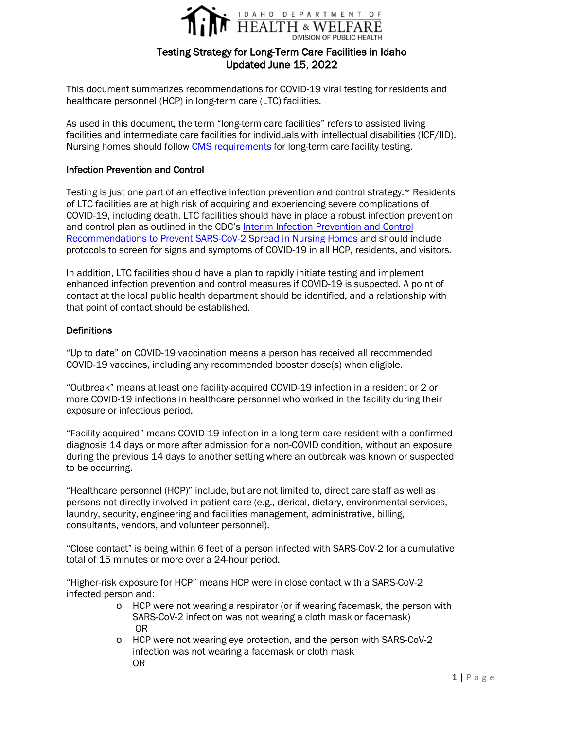

# Testing Strategy for Long-Term Care Facilities in Idaho Updated June 15, 2022

This document summarizes recommendations for COVID-19 viral testing for residents and healthcare personnel (HCP) in long-term care (LTC) facilities.

As used in this document, the term "long-term care facilities" refers to assisted living facilities and intermediate care facilities for individuals with intellectual disabilities (ICF/IID). Nursing homes should follow [CMS requirements](https://www.cms.gov/files/document/qso-20-38-nh-revised.pdf) for long-term care facility testing.

### Infection Prevention and Control

Testing is just one part of an effective infection prevention and control strategy.\* Residents of LTC facilities are at high risk of acquiring and experiencing severe complications of COVID-19, including death. LTC facilities should have in place a robust infection prevention and control plan as outlined in the CDC's [Interim Infection Prevention and Control](https://www.cdc.gov/coronavirus/2019-ncov/hcp/long-term-care.html)  [Recommendations to Prevent SARS-CoV-2 Spread in Nursing Homes](https://www.cdc.gov/coronavirus/2019-ncov/hcp/long-term-care.html) and should include protocols to screen for signs and symptoms of COVID-19 in all HCP, residents, and visitors.

In addition, LTC facilities should have a plan to rapidly initiate testing and implement enhanced infection prevention and control measures if COVID-19 is suspected. A point of contact at the local public health department should be identified, and a relationship with that point of contact should be established.

### **Definitions**

"Up to date" on COVID-19 vaccination means a person has received all recommended COVID-19 vaccines, including any recommended booster dose(s) when eligible.

"Outbreak" means at least one facility-acquired COVID-19 infection in a resident or 2 or more COVID-19 infections in healthcare personnel who worked in the facility during their exposure or infectious period.

"Facility-acquired" means COVID-19 infection in a long-term care resident with a confirmed diagnosis 14 days or more after admission for a non-COVID condition, without an exposure during the previous 14 days to another setting where an outbreak was known or suspected to be occurring.

"Healthcare personnel (HCP)" include, but are not limited to, direct care staff as well as persons not directly involved in patient care (e.g., clerical, dietary, environmental services, laundry, security, engineering and facilities management, administrative, billing, consultants, vendors, and volunteer personnel).

"Close contact" is being within 6 feet of a person infected with SARS-CoV-2 for a cumulative total of 15 minutes or more over a 24-hour period.

"Higher-risk exposure for HCP" means HCP were in close contact with a SARS-CoV-2 infected person and:

- o HCP were not wearing a respirator (or if wearing facemask, the person with SARS-CoV-2 infection was not wearing a cloth mask or facemask) OR
- o HCP were not wearing eye protection, and the person with SARS-CoV-2 infection was not wearing a facemask or cloth mask OR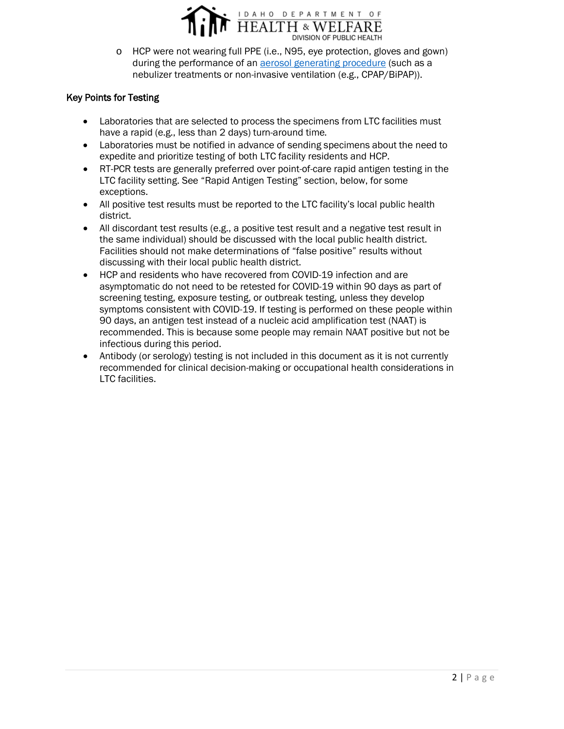

o HCP were not wearing full PPE (i.e., N95, eye protection, gloves and gown) during the performance of an [aerosol generating procedure](https://www.cdc.gov/coronavirus/2019-ncov/hcp/faq.html) (such as a nebulizer treatments or non-invasive ventilation (e.g., CPAP/BiPAP)).

## Key Points for Testing

- Laboratories that are selected to process the specimens from LTC facilities must have a rapid (e.g., less than 2 days) turn-around time.
- Laboratories must be notified in advance of sending specimens about the need to expedite and prioritize testing of both LTC facility residents and HCP.
- RT-PCR tests are generally preferred over point-of-care rapid antigen testing in the LTC facility setting. See "Rapid Antigen Testing" section, below, for some exceptions.
- All positive test results must be reported to the LTC facility's local public health district.
- All discordant test results (e.g., a positive test result and a negative test result in the same individual) should be discussed with the local public health district. Facilities should not make determinations of "false positive" results without discussing with their local public health district.
- HCP and residents who have recovered from COVID-19 infection and are asymptomatic do not need to be retested for COVID-19 within 90 days as part of screening testing, exposure testing, or outbreak testing, unless they develop symptoms consistent with COVID-19. If testing is performed on these people within 90 days, an antigen test instead of a nucleic acid amplification test (NAAT) is recommended. This is because some people may remain NAAT positive but not be infectious during this period.
- Antibody (or serology) testing is not included in this document as it is not currently recommended for clinical decision-making or occupational health considerations in LTC facilities.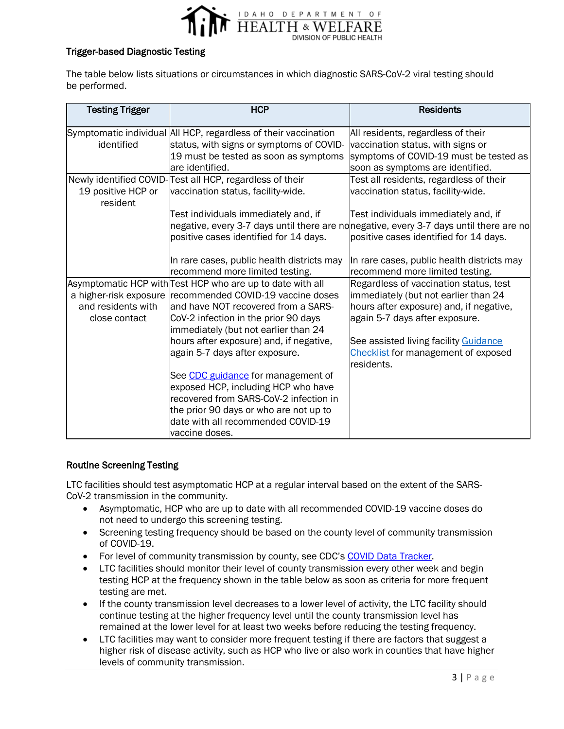

## Trigger-based Diagnostic Testing

The table below lists situations or circumstances in which diagnostic SARS-CoV-2 viral testing should be performed.

| <b>Testing Trigger</b>         | <b>HCP</b>                                                                   | <b>Residents</b>                                                                       |
|--------------------------------|------------------------------------------------------------------------------|----------------------------------------------------------------------------------------|
|                                | Symptomatic individual All HCP, regardless of their vaccination              | All residents, regardless of their                                                     |
| identified                     | status, with signs or symptoms of COVID-                                     | vaccination status, with signs or                                                      |
|                                | 19 must be tested as soon as symptoms                                        | symptoms of COVID-19 must be tested as                                                 |
|                                | lare identified.                                                             | soon as symptoms are identified.                                                       |
|                                | Newly identified COVID-Test all HCP, regardless of their                     | Test all residents, regardless of their                                                |
| 19 positive HCP or<br>resident | vaccination status, facility-wide.                                           | vaccination status, facility-wide.                                                     |
|                                | Test individuals immediately and, if                                         | Test individuals immediately and, if                                                   |
|                                |                                                                              | negative, every 3-7 days until there are nonegative, every 3-7 days until there are no |
|                                | positive cases identified for 14 days.                                       | positive cases identified for 14 days.                                                 |
|                                | In rare cases, public health districts may                                   | In rare cases, public health districts may                                             |
|                                | recommend more limited testing.                                              | recommend more limited testing.                                                        |
|                                | Asymptomatic HCP with Test HCP who are up to date with all                   | Regardless of vaccination status, test                                                 |
|                                | a higher-risk exposure recommended COVID-19 vaccine doses                    | immediately (but not earlier than 24                                                   |
| and residents with             | and have NOT recovered from a SARS-                                          | hours after exposure) and, if negative,                                                |
| close contact                  | CoV-2 infection in the prior 90 days<br>immediately (but not earlier than 24 | again 5-7 days after exposure.                                                         |
|                                | hours after exposure) and, if negative,                                      | See assisted living facility Guidance                                                  |
|                                | again 5-7 days after exposure.                                               | <b>Checklist for management of exposed</b>                                             |
|                                |                                                                              | residents.                                                                             |
|                                | See CDC guidance for management of                                           |                                                                                        |
|                                | exposed HCP, including HCP who have                                          |                                                                                        |
|                                | recovered from SARS-CoV-2 infection in                                       |                                                                                        |
|                                | the prior 90 days or who are not up to                                       |                                                                                        |
|                                | date with all recommended COVID-19                                           |                                                                                        |
|                                | vaccine doses.                                                               |                                                                                        |

### Routine Screening Testing

LTC facilities should test asymptomatic HCP at a regular interval based on the extent of the SARS-CoV-2 transmission in the community.

- Asymptomatic, HCP who are up to date with all recommended COVID-19 vaccine doses do not need to undergo this screening testing.
- Screening testing frequency should be based on the county level of community transmission of COVID-19.
- For level of community transmission by county, see CDC's [COVID Data Tracker.](https://covid.cdc.gov/covid-data-tracker/#county-view?list_select_state=all_states&list_select_county=all_counties&data-type=Risk&null=Risk)
- LTC facilities should monitor their level of county transmission every other week and begin testing HCP at the frequency shown in the table below as soon as criteria for more frequent testing are met.
- If the county transmission level decreases to a lower level of activity, the LTC facility should continue testing at the higher frequency level until the county transmission level has remained at the lower level for at least two weeks before reducing the testing frequency.
- LTC facilities may want to consider more frequent testing if there are factors that suggest a higher risk of disease activity, such as HCP who live or also work in counties that have higher levels of community transmission.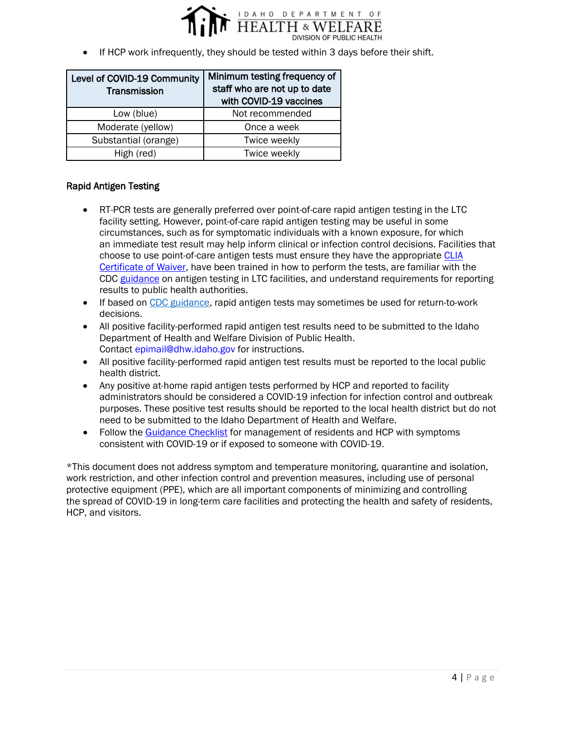

• If HCP work infrequently, they should be tested within 3 days before their shift.

| Level of COVID-19 Community<br>Transmission | Minimum testing frequency of<br>staff who are not up to date<br>with COVID-19 vaccines |
|---------------------------------------------|----------------------------------------------------------------------------------------|
| Low (blue)                                  | Not recommended                                                                        |
| Moderate (yellow)                           | Once a week                                                                            |
| Substantial (orange)                        | Twice weekly                                                                           |
| High (red)                                  | Twice weekly                                                                           |

### Rapid Antigen Testing

- RT-PCR tests are generally preferred over point-of-care rapid antigen testing in the LTC facility setting. However, point-of-care rapid antigen testing may be useful in some circumstances, such as for symptomatic individuals with a known exposure, for which an immediate test result may help inform clinical or infection control decisions. Facilities that choose to use point-of-care antigen tests must ensure they have the appropriate [CLIA](https://healthandwelfare.idaho.gov/providers/idaho-laboratories-and-testing/clinical-lab-certification)  [Certificate of Waiver,](https://healthandwelfare.idaho.gov/providers/idaho-laboratories-and-testing/clinical-lab-certification) have been trained in how to perform the tests, are familiar with the CDC [guidance](https://www.cdc.gov/coronavirus/2019-ncov/hcp/nursing-homes-antigen-testing.html) on antigen testing in LTC facilities, and understand requirements for reporting results to public health authorities.
- If based on [CDC guidance,](https://www.cdc.gov/coronavirus/2019-ncov/hcp/guidance-risk-assesment-hcp.html) rapid antigen tests may sometimes be used for return-to-work decisions.
- All positive facility-performed rapid antigen test results need to be submitted to the Idaho Department of Health and Welfare Division of Public Health. Contact [epimail@dhw.idaho.gov](mailto:epimail@dhw.idaho.gov) for instructions.
- All positive facility-performed rapid antigen test results must be reported to the local public health district.
- Any positive at-home rapid antigen tests performed by HCP and reported to facility administrators should be considered a COVID-19 infection for infection control and outbreak purposes. These positive test results should be reported to the local health district but do not need to be submitted to the Idaho Department of Health and Welfare.
- Follow the [Guidance Checklist](https://publicdocuments.dhw.idaho.gov/WebLink/DocView.aspx?id=19608&dbid=0&repo=PUBLIC-DOCUMENTS) for management of residents and HCP with symptoms consistent with COVID-19 or if exposed to someone with COVID-19.

\*This document does not address symptom and temperature monitoring, quarantine and isolation, work restriction, and other infection control and prevention measures, including use of personal protective equipment (PPE), which are all important components of minimizing and controlling the spread of COVID-19 in long-term care facilities and protecting the health and safety of residents, HCP, and visitors.